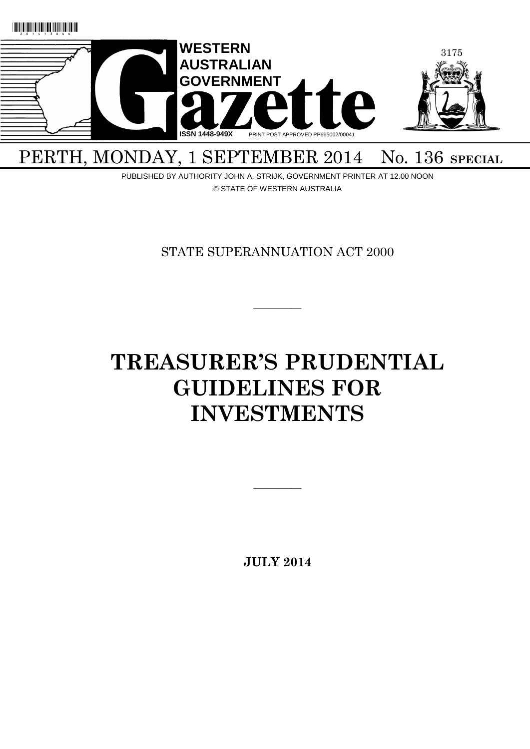

## PERTH, MONDAY, 1 SEPTEMBER 2014 No. 136 SPECIAL

PUBLISHED BY AUTHORITY JOHN A. STRIJK, GOVERNMENT PRINTER AT 12.00 NOON © STATE OF WESTERN AUSTRALIA

STATE SUPERANNUATION ACT 2000

 $\overline{\phantom{a}}$ 

# **TREASURER'S PRUDENTIAL GUIDELINES FOR INVESTMENTS**

**JULY 2014**

 $\overline{\phantom{a}}$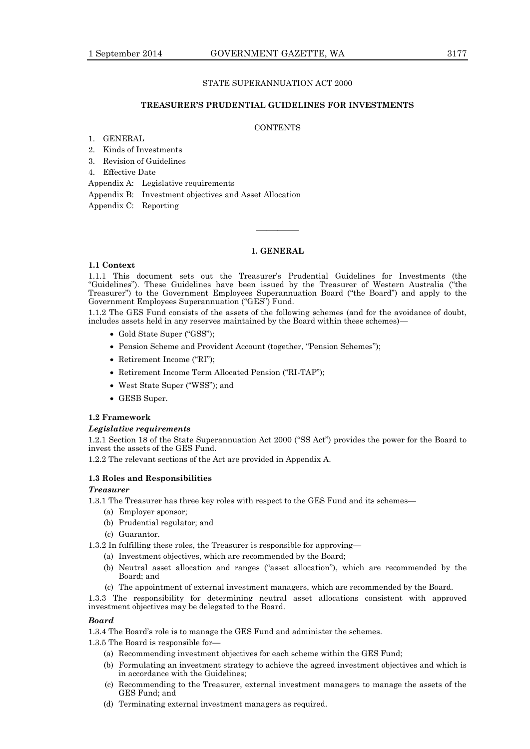#### STATE SUPERANNUATION ACT 2000

#### **TREASURER'S PRUDENTIAL GUIDELINES FOR INVESTMENTS**

#### **CONTENTS**

- 1. GENERAL
- 2. Kinds of Investments
- 3. Revision of Guidelines
- 4. Effective Date

Appendix A: Legislative requirements

Appendix B: Investment objectives and Asset Allocation

Appendix C: Reporting

#### **1. GENERAL**

————

#### **1.1 Context**

1.1.1 This document sets out the Treasurer's Prudential Guidelines for Investments (the "Guidelines"). These Guidelines have been issued by the Treasurer of Western Australia ("the Treasurer") to the Government Employees Superannuation Board ("the Board") and apply to the Government Employees Superannuation ("GES") Fund.

1.1.2 The GES Fund consists of the assets of the following schemes (and for the avoidance of doubt, includes assets held in any reserves maintained by the Board within these schemes)—

- Gold State Super ("GSS");
- Pension Scheme and Provident Account (together, "Pension Schemes");
- Retirement Income ("RI");
- Retirement Income Term Allocated Pension ("RI-TAP");
- West State Super ("WSS"); and
- GESB Super.

#### **1.2 Framework**

#### *Legislative requirements*

1.2.1 Section 18 of the State Superannuation Act 2000 ("SS Act") provides the power for the Board to invest the assets of the GES Fund.

1.2.2 The relevant sections of the Act are provided in Appendix A.

#### **1.3 Roles and Responsibilities**

#### *Treasurer*

1.3.1 The Treasurer has three key roles with respect to the GES Fund and its schemes—

- (a) Employer sponsor;
- (b) Prudential regulator; and
- (c) Guarantor.

1.3.2 In fulfilling these roles, the Treasurer is responsible for approving—

(a) Investment objectives, which are recommended by the Board;

- (b) Neutral asset allocation and ranges ("asset allocation"), which are recommended by the Board; and
- (c) The appointment of external investment managers, which are recommended by the Board.

1.3.3 The responsibility for determining neutral asset allocations consistent with approved investment objectives may be delegated to the Board.

#### *Board*

1.3.4 The Board's role is to manage the GES Fund and administer the schemes.

1.3.5 The Board is responsible for—

- (a) Recommending investment objectives for each scheme within the GES Fund;
- (b) Formulating an investment strategy to achieve the agreed investment objectives and which is in accordance with the Guidelines;
- (c) Recommending to the Treasurer, external investment managers to manage the assets of the GES Fund; and
- (d) Terminating external investment managers as required.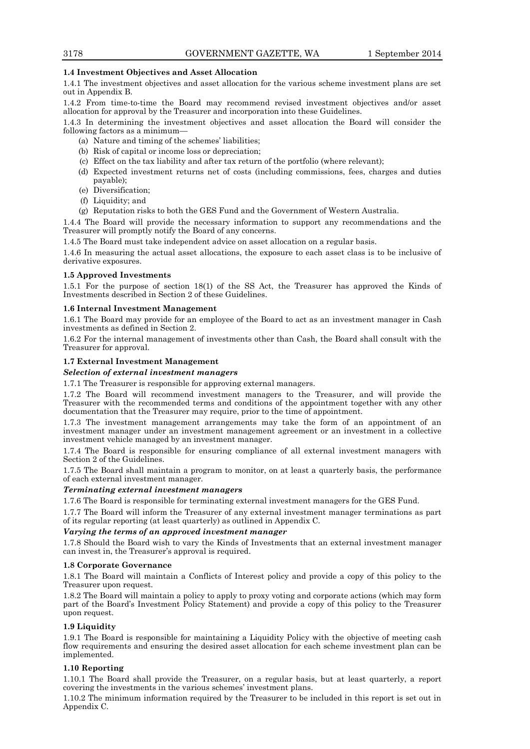#### **1.4 Investment Objectives and Asset Allocation**

1.4.1 The investment objectives and asset allocation for the various scheme investment plans are set out in Appendix B.

1.4.2 From time-to-time the Board may recommend revised investment objectives and/or asset allocation for approval by the Treasurer and incorporation into these Guidelines.

1.4.3 In determining the investment objectives and asset allocation the Board will consider the following factors as a minimum—

- (a) Nature and timing of the schemes' liabilities;
- (b) Risk of capital or income loss or depreciation;
- (c) Effect on the tax liability and after tax return of the portfolio (where relevant);
- (d) Expected investment returns net of costs (including commissions, fees, charges and duties payable);
- (e) Diversification;
- (f) Liquidity; and
- (g) Reputation risks to both the GES Fund and the Government of Western Australia.

1.4.4 The Board will provide the necessary information to support any recommendations and the Treasurer will promptly notify the Board of any concerns.

1.4.5 The Board must take independent advice on asset allocation on a regular basis.

1.4.6 In measuring the actual asset allocations, the exposure to each asset class is to be inclusive of derivative exposures.

#### **1.5 Approved Investments**

1.5.1 For the purpose of section 18(1) of the SS Act, the Treasurer has approved the Kinds of Investments described in Section 2 of these Guidelines.

#### **1.6 Internal Investment Management**

1.6.1 The Board may provide for an employee of the Board to act as an investment manager in Cash investments as defined in Section 2.

1.6.2 For the internal management of investments other than Cash, the Board shall consult with the Treasurer for approval.

#### **1.7 External Investment Management**

#### *Selection of external investment managers*

1.7.1 The Treasurer is responsible for approving external managers.

1.7.2 The Board will recommend investment managers to the Treasurer, and will provide the Treasurer with the recommended terms and conditions of the appointment together with any other documentation that the Treasurer may require, prior to the time of appointment.

1.7.3 The investment management arrangements may take the form of an appointment of an investment manager under an investment management agreement or an investment in a collective investment vehicle managed by an investment manager.

1.7.4 The Board is responsible for ensuring compliance of all external investment managers with Section 2 of the Guidelines.

1.7.5 The Board shall maintain a program to monitor, on at least a quarterly basis, the performance of each external investment manager.

#### *Terminating external investment managers*

1.7.6 The Board is responsible for terminating external investment managers for the GES Fund.

1.7.7 The Board will inform the Treasurer of any external investment manager terminations as part of its regular reporting (at least quarterly) as outlined in Appendix C.

#### *Varying the terms of an approved investment manager*

1.7.8 Should the Board wish to vary the Kinds of Investments that an external investment manager can invest in, the Treasurer's approval is required.

#### **1.8 Corporate Governance**

1.8.1 The Board will maintain a Conflicts of Interest policy and provide a copy of this policy to the Treasurer upon request.

1.8.2 The Board will maintain a policy to apply to proxy voting and corporate actions (which may form part of the Board's Investment Policy Statement) and provide a copy of this policy to the Treasurer upon request.

#### **1.9 Liquidity**

1.9.1 The Board is responsible for maintaining a Liquidity Policy with the objective of meeting cash flow requirements and ensuring the desired asset allocation for each scheme investment plan can be implemented.

#### **1.10 Reporting**

1.10.1 The Board shall provide the Treasurer, on a regular basis, but at least quarterly, a report covering the investments in the various schemes' investment plans.

1.10.2 The minimum information required by the Treasurer to be included in this report is set out in Appendix C.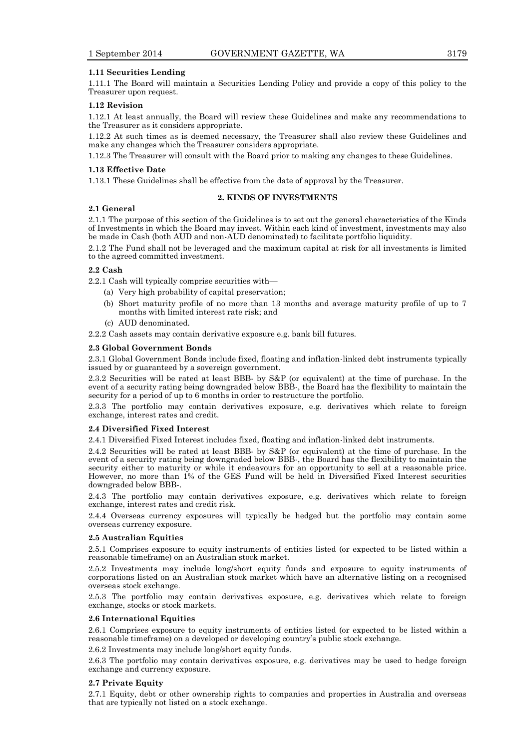#### **1.11 Securities Lending**

1.11.1 The Board will maintain a Securities Lending Policy and provide a copy of this policy to the Treasurer upon request.

#### **1.12 Revision**

1.12.1 At least annually, the Board will review these Guidelines and make any recommendations to the Treasurer as it considers appropriate.

1.12.2 At such times as is deemed necessary, the Treasurer shall also review these Guidelines and make any changes which the Treasurer considers appropriate.

1.12.3 The Treasurer will consult with the Board prior to making any changes to these Guidelines.

#### **1.13 Effective Date**

1.13.1 These Guidelines shall be effective from the date of approval by the Treasurer.

#### **2. KINDS OF INVESTMENTS**

#### **2.1 General**

2.1.1 The purpose of this section of the Guidelines is to set out the general characteristics of the Kinds of Investments in which the Board may invest. Within each kind of investment, investments may also be made in Cash (both AUD and non-AUD denominated) to facilitate portfolio liquidity.

2.1.2 The Fund shall not be leveraged and the maximum capital at risk for all investments is limited to the agreed committed investment.

#### **2.2 Cash**

2.2.1 Cash will typically comprise securities with—

- (a) Very high probability of capital preservation;
- (b) Short maturity profile of no more than 13 months and average maturity profile of up to 7 months with limited interest rate risk; and
- (c) AUD denominated.

2.2.2 Cash assets may contain derivative exposure e.g. bank bill futures.

#### **2.3 Global Government Bonds**

2.3.1 Global Government Bonds include fixed, floating and inflation-linked debt instruments typically issued by or guaranteed by a sovereign government.

2.3.2 Securities will be rated at least BBB- by S&P (or equivalent) at the time of purchase. In the event of a security rating being downgraded below BBB-, the Board has the flexibility to maintain the security for a period of up to 6 months in order to restructure the portfolio.

2.3.3 The portfolio may contain derivatives exposure, e.g. derivatives which relate to foreign exchange, interest rates and credit.

#### **2.4 Diversified Fixed Interest**

2.4.1 Diversified Fixed Interest includes fixed, floating and inflation-linked debt instruments.

2.4.2 Securities will be rated at least BBB- by S&P (or equivalent) at the time of purchase. In the event of a security rating being downgraded below BBB-, the Board has the flexibility to maintain the security either to maturity or while it endeavours for an opportunity to sell at a reasonable price. However, no more than 1% of the GES Fund will be held in Diversified Fixed Interest securities downgraded below BBB-.

2.4.3 The portfolio may contain derivatives exposure, e.g. derivatives which relate to foreign exchange, interest rates and credit risk.

2.4.4 Overseas currency exposures will typically be hedged but the portfolio may contain some overseas currency exposure.

#### **2.5 Australian Equities**

2.5.1 Comprises exposure to equity instruments of entities listed (or expected to be listed within a reasonable timeframe) on an Australian stock market.

2.5.2 Investments may include long/short equity funds and exposure to equity instruments of corporations listed on an Australian stock market which have an alternative listing on a recognised overseas stock exchange.

2.5.3 The portfolio may contain derivatives exposure, e.g. derivatives which relate to foreign exchange, stocks or stock markets.

#### **2.6 International Equities**

2.6.1 Comprises exposure to equity instruments of entities listed (or expected to be listed within a reasonable timeframe) on a developed or developing country's public stock exchange.

2.6.2 Investments may include long/short equity funds.

2.6.3 The portfolio may contain derivatives exposure, e.g. derivatives may be used to hedge foreign exchange and currency exposure.

#### **2.7 Private Equity**

2.7.1 Equity, debt or other ownership rights to companies and properties in Australia and overseas that are typically not listed on a stock exchange.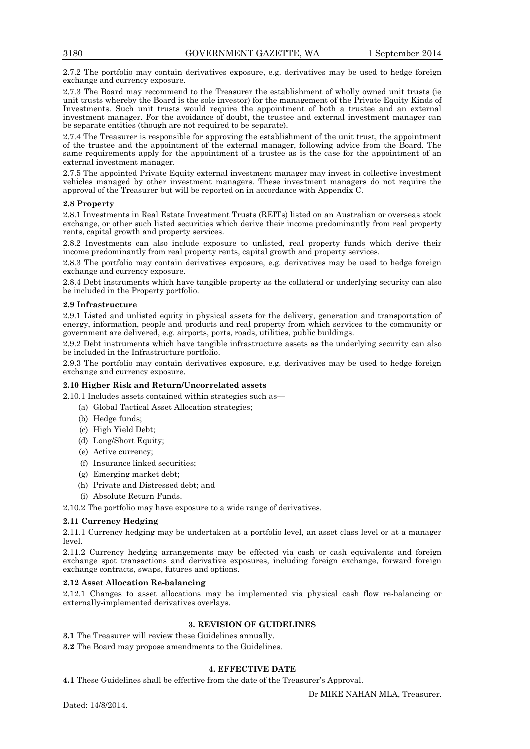2.7.2 The portfolio may contain derivatives exposure, e.g. derivatives may be used to hedge foreign exchange and currency exposure.

2.7.3 The Board may recommend to the Treasurer the establishment of wholly owned unit trusts (ie unit trusts whereby the Board is the sole investor) for the management of the Private Equity Kinds of Investments. Such unit trusts would require the appointment of both a trustee and an external investment manager. For the avoidance of doubt, the trustee and external investment manager can be separate entities (though are not required to be separate).

2.7.4 The Treasurer is responsible for approving the establishment of the unit trust, the appointment of the trustee and the appointment of the external manager, following advice from the Board. The same requirements apply for the appointment of a trustee as is the case for the appointment of an external investment manager.

2.7.5 The appointed Private Equity external investment manager may invest in collective investment vehicles managed by other investment managers. These investment managers do not require the approval of the Treasurer but will be reported on in accordance with Appendix C.

#### **2.8 Property**

2.8.1 Investments in Real Estate Investment Trusts (REITs) listed on an Australian or overseas stock exchange, or other such listed securities which derive their income predominantly from real property rents, capital growth and property services.

2.8.2 Investments can also include exposure to unlisted, real property funds which derive their income predominantly from real property rents, capital growth and property services.

2.8.3 The portfolio may contain derivatives exposure, e.g. derivatives may be used to hedge foreign exchange and currency exposure.

2.8.4 Debt instruments which have tangible property as the collateral or underlying security can also be included in the Property portfolio.

#### **2.9 Infrastructure**

2.9.1 Listed and unlisted equity in physical assets for the delivery, generation and transportation of energy, information, people and products and real property from which services to the community or government are delivered, e.g. airports, ports, roads, utilities, public buildings.

2.9.2 Debt instruments which have tangible infrastructure assets as the underlying security can also be included in the Infrastructure portfolio.

2.9.3 The portfolio may contain derivatives exposure, e.g. derivatives may be used to hedge foreign exchange and currency exposure.

#### **2.10 Higher Risk and Return/Uncorrelated assets**

2.10.1 Includes assets contained within strategies such as—

- (a) Global Tactical Asset Allocation strategies;
- (b) Hedge funds;
- (c) High Yield Debt;
- (d) Long/Short Equity;
- (e) Active currency;
- (f) Insurance linked securities;
- (g) Emerging market debt;
- (h) Private and Distressed debt; and
- (i) Absolute Return Funds.

2.10.2 The portfolio may have exposure to a wide range of derivatives.

#### **2.11 Currency Hedging**

2.11.1 Currency hedging may be undertaken at a portfolio level, an asset class level or at a manager level.

2.11.2 Currency hedging arrangements may be effected via cash or cash equivalents and foreign exchange spot transactions and derivative exposures, including foreign exchange, forward foreign exchange contracts, swaps, futures and options.

#### **2.12 Asset Allocation Re-balancing**

2.12.1 Changes to asset allocations may be implemented via physical cash flow re-balancing or externally-implemented derivatives overlays.

#### **3. REVISION OF GUIDELINES**

**3.1** The Treasurer will review these Guidelines annually.

**3.2** The Board may propose amendments to the Guidelines.

#### **4. EFFECTIVE DATE**

**4.1** These Guidelines shall be effective from the date of the Treasurer's Approval.

Dr MIKE NAHAN MLA, Treasurer.

Dated: 14/8/2014.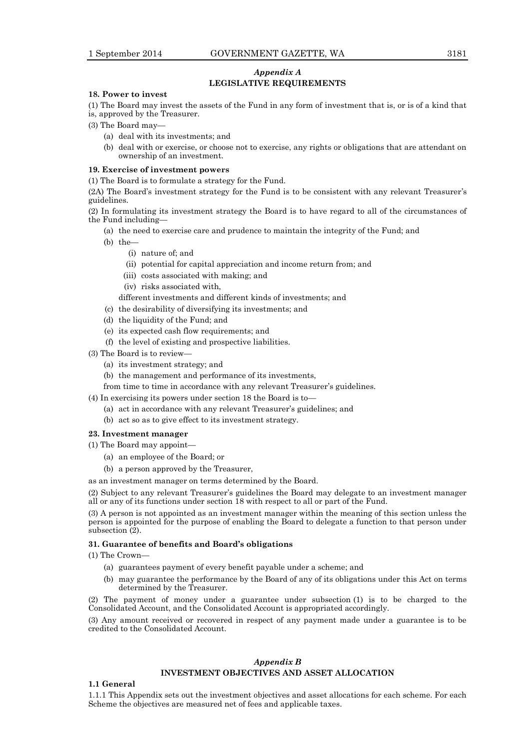#### *Appendix A* **LEGISLATIVE REQUIREMENTS**

#### **18. Power to invest**

(1) The Board may invest the assets of the Fund in any form of investment that is, or is of a kind that is, approved by the Treasurer.

- (3) The Board may—
	- (a) deal with its investments; and
	- (b) deal with or exercise, or choose not to exercise, any rights or obligations that are attendant on ownership of an investment.

#### **19. Exercise of investment powers**

(1) The Board is to formulate a strategy for the Fund.

(2A) The Board's investment strategy for the Fund is to be consistent with any relevant Treasurer's guidelines.

(2) In formulating its investment strategy the Board is to have regard to all of the circumstances of the Fund including—

- (a) the need to exercise care and prudence to maintain the integrity of the Fund; and
- (b) the—
	- (i) nature of; and
	- (ii) potential for capital appreciation and income return from; and
	- (iii) costs associated with making; and
	- (iv) risks associated with,
	- different investments and different kinds of investments; and
- (c) the desirability of diversifying its investments; and
- (d) the liquidity of the Fund; and
- (e) its expected cash flow requirements; and
- (f) the level of existing and prospective liabilities.
- (3) The Board is to review—
	- (a) its investment strategy; and
	- (b) the management and performance of its investments,
	- from time to time in accordance with any relevant Treasurer's guidelines.
- (4) In exercising its powers under section 18 the Board is to—
	- (a) act in accordance with any relevant Treasurer's guidelines; and
	- (b) act so as to give effect to its investment strategy.

#### **23. Investment manager**

- (1) The Board may appoint—
	- (a) an employee of the Board; or
	- (b) a person approved by the Treasurer,
- as an investment manager on terms determined by the Board.

(2) Subject to any relevant Treasurer's guidelines the Board may delegate to an investment manager all or any of its functions under section 18 with respect to all or part of the Fund.

(3) A person is not appointed as an investment manager within the meaning of this section unless the person is appointed for the purpose of enabling the Board to delegate a function to that person under subsection (2).

#### **31. Guarantee of benefits and Board's obligations**

(1) The Crown—

- (a) guarantees payment of every benefit payable under a scheme; and
- (b) may guarantee the performance by the Board of any of its obligations under this Act on terms determined by the Treasurer.

(2) The payment of money under a guarantee under subsection (1) is to be charged to the Consolidated Account, and the Consolidated Account is appropriated accordingly.

(3) Any amount received or recovered in respect of any payment made under a guarantee is to be credited to the Consolidated Account.

#### *Appendix B* **INVESTMENT OBJECTIVES AND ASSET ALLOCATION**

#### **1.1 General**

1.1.1 This Appendix sets out the investment objectives and asset allocations for each scheme. For each Scheme the objectives are measured net of fees and applicable taxes.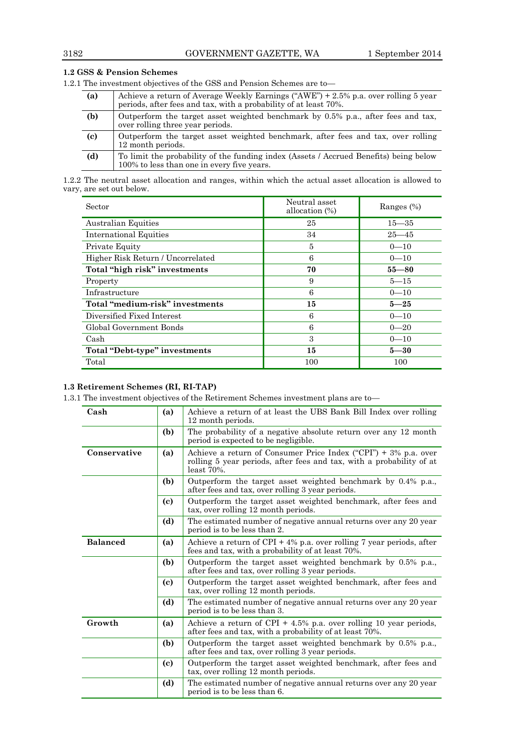|     | The investment objectives of the GSS and Pension Schemes are to-                                                                                        |  |  |  |  |
|-----|---------------------------------------------------------------------------------------------------------------------------------------------------------|--|--|--|--|
| (a) | Achieve a return of Average Weekly Earnings ("AWE") + 2.5% p.a. over rolling 5 year<br>periods, after fees and tax, with a probability of at least 70%. |  |  |  |  |
| (b) | Outperform the target asset weighted benchmark by 0.5% p.a., after fees and tax,<br>over rolling three year periods.                                    |  |  |  |  |
| (c) | Outperform the target asset weighted benchmark, after fees and tax, over rolling<br>12 month periods.                                                   |  |  |  |  |
| (d) | To limit the probability of the funding index (Assets / Accrued Benefits) being below<br>100% to less than one in every five years.                     |  |  |  |  |

**1.2 GSS & Pension Schemes**

1.2.1 The investment objectives of the GSS and Pension Schemes

1.2.2 The neutral asset allocation and ranges, within which the actual asset allocation is allowed to vary, are set out below.

| Sector                            | Neutral asset<br>allocation $(\%)$ | Ranges $(\%)$ |
|-----------------------------------|------------------------------------|---------------|
| Australian Equities               | 25                                 | $15 - 35$     |
| International Equities            | 34                                 | $25 - 45$     |
| Private Equity                    | 5                                  | $0 - 10$      |
| Higher Risk Return / Uncorrelated | 6                                  | $0 - 10$      |
| Total "high risk" investments     | 70                                 | $55 - 80$     |
| Property                          | 9                                  | $5 - 15$      |
| Infrastructure                    | 6                                  | $0 - 10$      |
| Total "medium-risk" investments   | 15                                 | $5 - 25$      |
| Diversified Fixed Interest        | 6                                  | $0 - 10$      |
| Global Government Bonds           | 6                                  | $0 - 20$      |
| Cash                              | 3                                  | $0 - 10$      |
| Total "Debt-type" investments     | 15                                 | $5 - 30$      |
| Total                             | 100                                | 100           |

#### **1.3 Retirement Schemes (RI, RI-TAP)**

1.3.1 The investment objectives of the Retirement Schemes investment plans are to—

| Cash            | (a) | Achieve a return of at least the UBS Bank Bill Index over rolling<br>12 month periods.                                                                      |  |  |
|-----------------|-----|-------------------------------------------------------------------------------------------------------------------------------------------------------------|--|--|
|                 | (b) | The probability of a negative absolute return over any 12 month<br>period is expected to be negligible.                                                     |  |  |
| Conservative    | (a) | Achieve a return of Consumer Price Index ("CPI") $+$ 3% p.a. over<br>rolling 5 year periods, after fees and tax, with a probability of at<br>$least 70\%$ . |  |  |
|                 | (b) | Outperform the target asset weighted benchmark by 0.4% p.a.,<br>after fees and tax, over rolling 3 year periods.                                            |  |  |
|                 | (c) | Outperform the target asset weighted benchmark, after fees and<br>tax, over rolling 12 month periods.                                                       |  |  |
|                 | (d) | The estimated number of negative annual returns over any 20 year<br>period is to be less than 2.                                                            |  |  |
| <b>Balanced</b> | (a) | Achieve a return of CPI + 4% p.a. over rolling 7 year periods, after<br>fees and tax, with a probability of at least 70%.                                   |  |  |
|                 | (b) | Outperform the target asset weighted benchmark by 0.5% p.a.,<br>after fees and tax, over rolling 3 year periods.                                            |  |  |
|                 | (c) | Outperform the target asset weighted benchmark, after fees and<br>tax, over rolling 12 month periods.                                                       |  |  |
|                 | (d) | The estimated number of negative annual returns over any 20 year<br>period is to be less than 3.                                                            |  |  |
| Growth          | (a) | Achieve a return of CPI $+$ 4.5% p.a. over rolling 10 year periods,<br>after fees and tax, with a probability of at least 70%.                              |  |  |
|                 | (b) | Outperform the target asset weighted benchmark by 0.5% p.a.,<br>after fees and tax, over rolling 3 year periods.                                            |  |  |
|                 | (c) | Outperform the target asset weighted benchmark, after fees and<br>tax, over rolling 12 month periods.                                                       |  |  |
|                 | (d) | The estimated number of negative annual returns over any 20 year<br>period is to be less than 6.                                                            |  |  |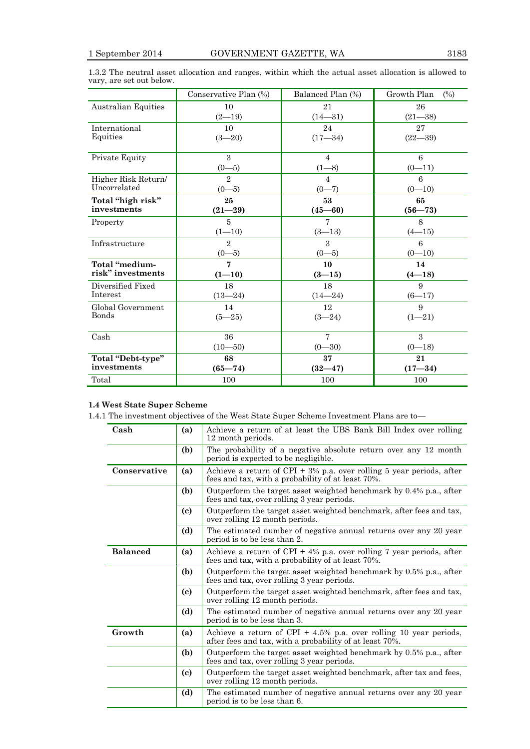|                            | Conservative Plan (%)       | Balanced Plan (%) | Growth Plan<br>(%) |
|----------------------------|-----------------------------|-------------------|--------------------|
| <b>Australian Equities</b> | 10                          | 21                | 26                 |
|                            | $(2 - 19)$                  | $(14 - 31)$       | $(21 - 38)$        |
| International              | 10                          | 24                | 27                 |
| Equities                   | $(3 - 20)$                  | $(17 - 34)$       | $(22 - 39)$        |
| Private Equity             | 3                           | $\overline{4}$    | 6                  |
|                            | $(0-5)$                     | $(1 - 8)$         | $(0-11)$           |
| Higher Risk Return/        | $\mathcal{D}_{\mathcal{L}}$ | $\overline{4}$    | 6                  |
| Uncorrelated               | $(0-5)$                     | $(0-7)$           | $(0 - 10)$         |
| Total "high risk"          | 25                          | 53                | 65                 |
| investments                | $(21 - 29)$                 | $(45 - 60)$       | $(56 - 73)$        |
| Property                   | $\overline{5}$              | 7                 | 8                  |
|                            | $(1 - 10)$                  | $(3-13)$          | $(4 - 15)$         |
| Infrastructure             | $\overline{2}$              | $\mathcal{S}$     | 6                  |
|                            | $(0-5)$                     | $(0-5)$           | $(0 - 10)$         |
| Total "medium-             | $\overline{7}$              | 10                | 14                 |
| risk" investments          | $(1 - 10)$                  | $(3 - 15)$        | $(4 - 18)$         |
| Diversified Fixed          | 18                          | 18                | 9                  |
| Interest                   | $(13 - 24)$                 | $(14 - 24)$       | $(6 - 17)$         |
| Global Government          | 14                          | 12                | 9                  |
| Bonds                      | $(5 - 25)$                  | $(3 - 24)$        | $(1 - 21)$         |
| Cash                       | 36                          | $\overline{7}$    | $\mathcal{S}$      |
|                            | $(10 - 50)$                 | $(0 - 30)$        | $(0 - 18)$         |
| Total "Debt-type"          | 68                          | 37                | 21                 |
| investments                | $(65 - 74)$                 | $(32 - 47)$       | $(17 - 34)$        |
| Total                      | 100                         | 100               | 100                |

1.3.2 The neutral asset allocation and ranges, within which the actual asset allocation is allowed to vary, are set out below.

#### **1.4 West State Super Scheme**

1.4.1 The investment objectives of the West State Super Scheme Investment Plans are to—

| Cash                   | (a) | Achieve a return of at least the UBS Bank Bill Index over rolling<br>12 month periods.                                       |  |  |
|------------------------|-----|------------------------------------------------------------------------------------------------------------------------------|--|--|
|                        | (b) | The probability of a negative absolute return over any 12 month<br>period is expected to be negligible.                      |  |  |
| Conservative           | (a) | Achieve a return of CPI + $3\%$ p.a. over rolling 5 year periods, after<br>fees and tax, with a probability of at least 70%. |  |  |
|                        | (b) | Outperform the target asset weighted benchmark by 0.4% p.a., after<br>fees and tax, over rolling 3 year periods.             |  |  |
|                        | (c) | Outperform the target asset weighted benchmark, after fees and tax,<br>over rolling 12 month periods.                        |  |  |
|                        | (d) | The estimated number of negative annual returns over any 20 year<br>period is to be less than 2.                             |  |  |
| <b>Balanced</b><br>(a) |     | Achieve a return of CPI + $4\%$ p.a. over rolling 7 year periods, after<br>fees and tax, with a probability of at least 70%. |  |  |
|                        | (b) | Outperform the target asset weighted benchmark by 0.5% p.a., after<br>fees and tax, over rolling 3 year periods.             |  |  |
|                        | (c) | Outperform the target asset weighted benchmark, after fees and tax,<br>over rolling 12 month periods.                        |  |  |
|                        | (d) | The estimated number of negative annual returns over any 20 year<br>period is to be less than 3.                             |  |  |
| Growth<br>(a)          |     | Achieve a return of CPI + 4.5% p.a. over rolling 10 year periods,<br>after fees and tax, with a probability of at least 70%. |  |  |
|                        | (b) | Outperform the target asset weighted benchmark by 0.5% p.a., after<br>fees and tax, over rolling 3 year periods.             |  |  |
|                        | (c) | Outperform the target asset weighted benchmark, after tax and fees,<br>over rolling 12 month periods.                        |  |  |
|                        | (d) | The estimated number of negative annual returns over any 20 year<br>period is to be less than 6.                             |  |  |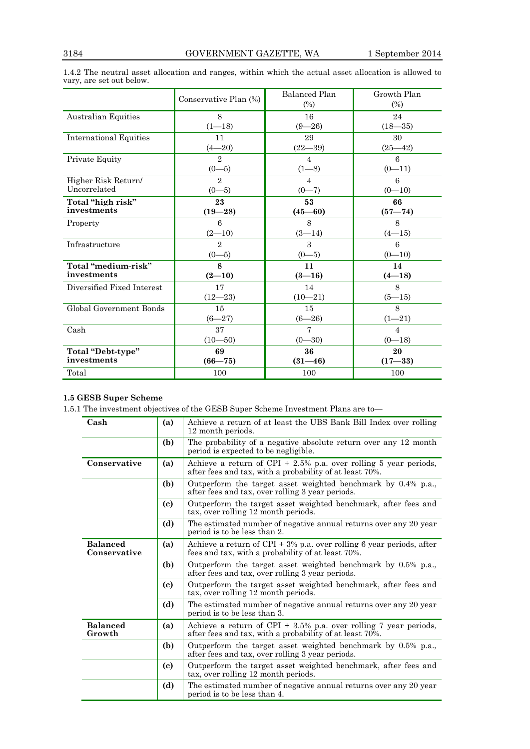|                               | Conservative Plan (%) | Balanced Plan<br>$(\%)$ | Growth Plan<br>(%) |  |
|-------------------------------|-----------------------|-------------------------|--------------------|--|
| Australian Equities           | 8                     | 16                      | 24                 |  |
|                               | $(1 - 18)$            | $(9 - 26)$              | $(18 - 35)$        |  |
| <b>International Equities</b> | 11                    | 29                      | 30                 |  |
|                               | $(4 - 20)$            | $(22 - 39)$             | $(25 - 42)$        |  |
| Private Equity                | $\overline{2}$        | $\overline{4}$          | 6                  |  |
|                               | $(0-5)$               | $(1 - 8)$               | $(0-11)$           |  |
| Higher Risk Return/           | $\overline{2}$        | 4                       | 6                  |  |
| Uncorrelated                  | $(0-5)$               | $(0-7)$                 | $(0-10)$           |  |
| Total "high risk"             | 23                    | 53                      | 66                 |  |
| investments                   | $(19 - 28)$           | $(45 - 60)$             | $(57 - 74)$        |  |
| Property                      | 6                     | 8                       | 8                  |  |
|                               | $(2-10)$              | $(3-14)$                | $(4 - 15)$         |  |
| Infrastructure                | $\overline{2}$        | 3                       | 6                  |  |
|                               | $(0-5)$               | $(0-5)$                 | $(0 - 10)$         |  |
| Total "medium-risk"           | 8                     | 11                      | 14                 |  |
| investments                   | $(2-10)$              | $(3-16)$                | $(4 - 18)$         |  |
| Diversified Fixed Interest    | 17                    | 14                      | 8                  |  |
|                               | $(12 - 23)$           | $(10 - 21)$             | $(5 - 15)$         |  |
| Global Government Bonds       | 15                    | 15                      | 8                  |  |
|                               | $(6 - 27)$            | $(6 - 26)$              | $(1 - 21)$         |  |
| Cash                          | 37                    | 7                       | $\overline{4}$     |  |
|                               | $(10 - 50)$           | $(0 - 30)$              | $(0 - 18)$         |  |
| Total "Debt-type"             | 69                    | 36                      | 20                 |  |
| investments                   | $(66 - 75)$           | $(31 - 46)$             | $(17 - 33)$        |  |
| Total                         | 100                   | 100                     | 100                |  |

1.4.2 The neutral asset allocation and ranges, within which the actual asset allocation is allowed to vary, are set out below.

### **1.5 GESB Super Scheme**

1.5.1 The investment objectives of the GESB Super Scheme Investment Plans are to—

| Cash                            | (a) | Achieve a return of at least the UBS Bank Bill Index over rolling<br>12 month periods.                                      |  |  |  |
|---------------------------------|-----|-----------------------------------------------------------------------------------------------------------------------------|--|--|--|
|                                 | (b) | The probability of a negative absolute return over any 12 month<br>period is expected to be negligible.                     |  |  |  |
| Conservative                    | (a) | Achieve a return of CPI + 2.5% p.a. over rolling 5 year periods,<br>after fees and tax, with a probability of at least 70%. |  |  |  |
|                                 | (b) | Outperform the target asset weighted benchmark by 0.4% p.a.,<br>after fees and tax, over rolling 3 year periods.            |  |  |  |
|                                 | (c) | Outperform the target asset weighted benchmark, after fees and<br>tax, over rolling 12 month periods.                       |  |  |  |
|                                 | (d) | The estimated number of negative annual returns over any 20 year<br>period is to be less than 2.                            |  |  |  |
| <b>Balanced</b><br>Conservative | (a) | Achieve a return of $CPI + 3%$ p.a. over rolling 6 year periods, after<br>fees and tax, with a probability of at least 70%. |  |  |  |
|                                 | (b) | Outperform the target asset weighted benchmark by 0.5% p.a.,<br>after fees and tax, over rolling 3 year periods.            |  |  |  |
|                                 | (c) | Outperform the target asset weighted benchmark, after fees and<br>tax, over rolling 12 month periods.                       |  |  |  |
|                                 | (d) | The estimated number of negative annual returns over any 20 year<br>period is to be less than 3.                            |  |  |  |
| <b>Balanced</b><br>Growth       | (a) | Achieve a return of CPI + 3.5% p.a. over rolling 7 year periods,<br>after fees and tax, with a probability of at least 70%. |  |  |  |
|                                 | (b) | Outperform the target asset weighted benchmark by 0.5% p.a.,<br>after fees and tax, over rolling 3 year periods.            |  |  |  |
|                                 | (c) | Outperform the target asset weighted benchmark, after fees and<br>tax, over rolling 12 month periods.                       |  |  |  |
|                                 | (d) | The estimated number of negative annual returns over any 20 year<br>period is to be less than 4.                            |  |  |  |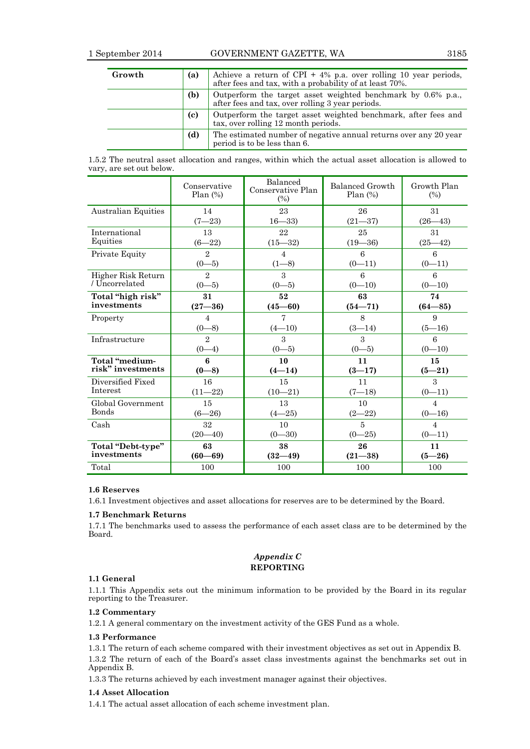| Growth | (a) | Achieve a return of CPI $+$ 4% p.a. over rolling 10 year periods,<br>after fees and tax, with a probability of at least 70%. |  |
|--------|-----|------------------------------------------------------------------------------------------------------------------------------|--|
|        | (b) | Outperform the target asset weighted benchmark by 0.6% p.a.,<br>after fees and tax, over rolling 3 year periods.             |  |
|        | (c) | Outperform the target asset weighted benchmark, after fees and<br>tax, over rolling 12 month periods.                        |  |
|        | (d) | The estimated number of negative annual returns over any 20 year<br>period is to be less than 6.                             |  |

1.5.2 The neutral asset allocation and ranges, within which the actual asset allocation is allowed to vary, are set out below.

|                            | Conservative<br>Plan(%) | Balanced<br>Conservative Plan<br>$(\%)$ | Balanced Growth<br>Plan(%) | Growth Plan<br>(%) |
|----------------------------|-------------------------|-----------------------------------------|----------------------------|--------------------|
| <b>Australian Equities</b> | 14                      | 23                                      | 26                         | 31                 |
|                            | $(7 - 23)$              | $16 - 33$                               | $(21 - 37)$                | $(26 - 43)$        |
| International              | 13                      | 22                                      | 25                         | 31                 |
| Equities                   | $(6 - 22)$              | $(15 - 32)$                             | $(19 - 36)$                | $(25 - 42)$        |
| Private Equity             | $\overline{2}$          | $\overline{4}$                          | 6                          | 6                  |
|                            | $(0-5)$                 | $(1 - 8)$                               | $(0-11)$                   | $(0-11)$           |
| Higher Risk Return         | $\overline{2}$          | $\mathcal{S}$                           | 6                          | 6                  |
| / Uncorrelated             | $(0-5)$                 | $(0-5)$                                 | $(0-10)$                   | $(0 - 10)$         |
| Total "high risk"          | 31                      | 52                                      | 63                         | 74                 |
| investments                | $(27 - 36)$             | $(45 - 60)$                             | $(54 - 71)$                | $(64 - 85)$        |
| Property                   | $\overline{4}$          | $\overline{7}$                          | 8                          | 9                  |
|                            | $(0-8)$                 | $(4 - 10)$                              | $(3-14)$                   | $(5-16)$           |
| Infrastructure             | $\overline{2}$          | 3                                       | $\mathcal{S}$              | 6                  |
|                            | $(0-4)$                 | $(0-5)$                                 | $(0-5)$                    | $(0 - 10)$         |
| Total "medium-             | 6                       | 10                                      | 11                         | 15                 |
| risk" investments          | $(0 - 8)$               | $(4-14)$                                | $(3-17)$                   | $(5 - 21)$         |
| Diversified Fixed          | 16                      | 15                                      | 11                         | 3                  |
| Interest                   | $(11 - 22)$             | $(10-21)$                               | $(7 - 18)$                 | $(0-11)$           |
| Global Government          | 15                      | 13                                      | 10                         | $\overline{4}$     |
| Bonds                      | $(6 - 26)$              | $(4 - 25)$                              | $(2 - 22)$                 | $(0-16)$           |
| Cash                       | 32                      | 10                                      | $\overline{5}$             | $\overline{4}$     |
|                            | $(20 - 40)$             | $(0 - 30)$                              | $(0 - 25)$                 | $(0-11)$           |
| Total "Debt-type"          | 63                      | 38                                      | 26                         | 11                 |
| investments                | $(60 - 69)$             | $(32 - 49)$                             | $(21 - 38)$                | $(5 - 26)$         |
| Total                      | 100                     | 100                                     | 100                        | 100                |

#### **1.6 Reserves**

1.6.1 Investment objectives and asset allocations for reserves are to be determined by the Board.

#### **1.7 Benchmark Returns**

1.7.1 The benchmarks used to assess the performance of each asset class are to be determined by the Board.

#### *Appendix C* **REPORTING**

#### **1.1 General**

1.1.1 This Appendix sets out the minimum information to be provided by the Board in its regular reporting to the Treasurer.

#### **1.2 Commentary**

1.2.1 A general commentary on the investment activity of the GES Fund as a whole.

#### **1.3 Performance**

1.3.1 The return of each scheme compared with their investment objectives as set out in Appendix B.

1.3.2 The return of each of the Board's asset class investments against the benchmarks set out in Appendix B.

1.3.3 The returns achieved by each investment manager against their objectives.

#### **1.4 Asset Allocation**

1.4.1 The actual asset allocation of each scheme investment plan.